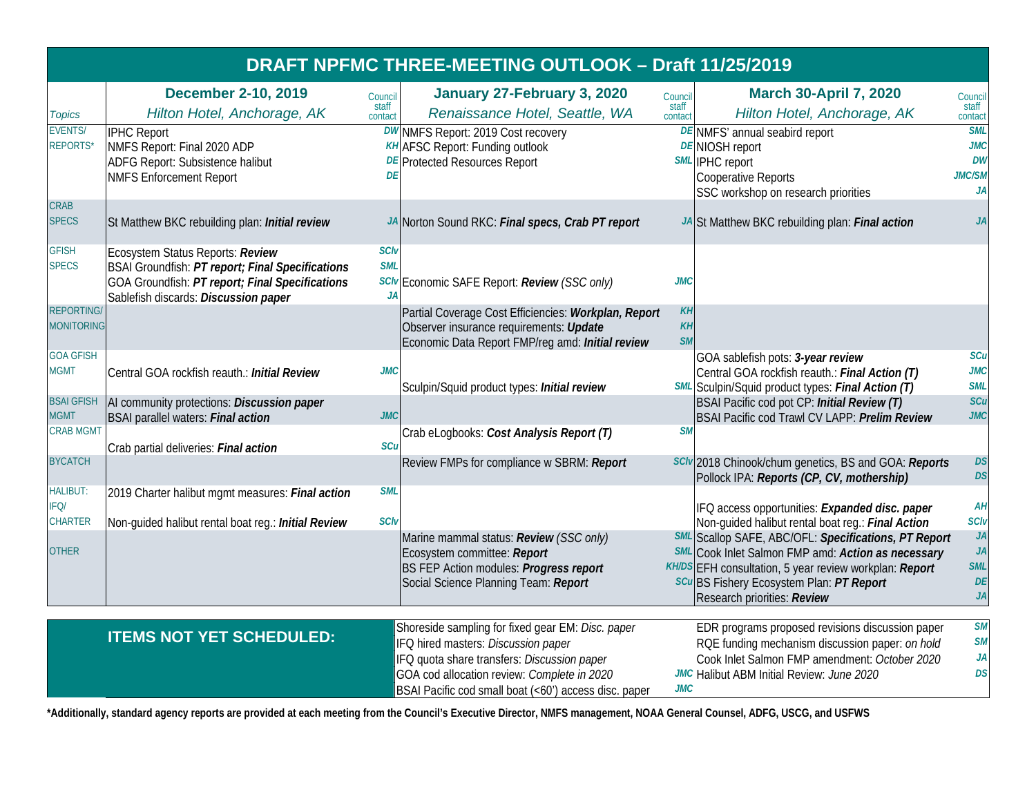|                                           |                                                                                                                                                                                 |                                 | DRAFT NPFMC THREE-MEETING OUTLOOK - Draft 11/25/2019                                                                                                                                                                                            |                              |                                                                                                                                                                                                                                                               |                                                                     |
|-------------------------------------------|---------------------------------------------------------------------------------------------------------------------------------------------------------------------------------|---------------------------------|-------------------------------------------------------------------------------------------------------------------------------------------------------------------------------------------------------------------------------------------------|------------------------------|---------------------------------------------------------------------------------------------------------------------------------------------------------------------------------------------------------------------------------------------------------------|---------------------------------------------------------------------|
| <b>Topics</b>                             | <b>December 2-10, 2019</b><br>Hilton Hotel, Anchorage, AK                                                                                                                       | Council<br>staff<br>contact     | January 27-February 3, 2020<br>Renaissance Hotel, Seattle, WA                                                                                                                                                                                   | Council<br>staff<br>contact  | <b>March 30-April 7, 2020</b><br>Hilton Hotel, Anchorage, AK                                                                                                                                                                                                  | Council<br>staff<br>contact                                         |
| <b>EVENTS/</b><br><b>REPORTS*</b>         | <b>IPHC Report</b><br>NMFS Report: Final 2020 ADP<br>ADFG Report: Subsistence halibut<br><b>NMFS Enforcement Report</b>                                                         | DF                              | DW NMFS Report: 2019 Cost recovery<br><b>KH</b> AFSC Report: Funding outlook<br><b>DE</b> Protected Resources Report                                                                                                                            |                              | DE NMFS' annual seabird report<br><b>DE NIOSH report</b><br>SML IPHC report<br>Cooperative Reports<br>SSC workshop on research priorities                                                                                                                     | <b>SML</b><br><b>JMC</b><br><b>DW</b><br><b>JMC/SM</b><br><b>JA</b> |
| <b>CRAB</b><br><b>SPECS</b>               | St Matthew BKC rebuilding plan: Initial review                                                                                                                                  |                                 | JA Norton Sound RKC: Final specs, Crab PT report                                                                                                                                                                                                |                              | JA St Matthew BKC rebuilding plan: Final action                                                                                                                                                                                                               | JA                                                                  |
| <b>GFISH</b><br><b>SPECS</b>              | Ecosystem Status Reports: Review<br>BSAI Groundfish: PT report; Final Specifications<br>GOA Groundfish: PT report; Final Specifications<br>Sablefish discards: Discussion paper | <b>SCIv</b><br><b>SML</b><br>JA | SCIV Economic SAFE Report: Review (SSC only)                                                                                                                                                                                                    | JMC                          |                                                                                                                                                                                                                                                               |                                                                     |
| <b>REPORTING</b><br><b>MONITORING</b>     |                                                                                                                                                                                 |                                 | Partial Coverage Cost Efficiencies: Workplan, Report<br>Observer insurance requirements: Update<br>Economic Data Report FMP/reg amd: Initial review                                                                                             | KH<br><b>KH</b><br><b>SM</b> |                                                                                                                                                                                                                                                               |                                                                     |
| <b>GOA GFISH</b><br><b>MGMT</b>           | Central GOA rockfish reauth.: Initial Review                                                                                                                                    | <b>JMC</b>                      | Sculpin/Squid product types: Initial review                                                                                                                                                                                                     |                              | GOA sablefish pots: 3-year review<br>Central GOA rockfish reauth.: Final Action (T)<br>SML Sculpin/Squid product types: Final Action (T)                                                                                                                      | <b>SCu</b><br><b>JMC</b><br><b>SML</b>                              |
| <b>BSAI GFISH</b><br><b>MGMT</b>          | AI community protections: Discussion paper<br><b>BSAI parallel waters: Final action</b>                                                                                         | <b>JMC</b>                      |                                                                                                                                                                                                                                                 |                              | BSAI Pacific cod pot CP: Initial Review (T)<br>BSAI Pacific cod Trawl CV LAPP: Prelim Review                                                                                                                                                                  | SCu<br><b>JMC</b>                                                   |
| <b>CRAB MGMT</b>                          | Crab partial deliveries: Final action                                                                                                                                           | SCu                             | Crab eLogbooks: Cost Analysis Report (T)                                                                                                                                                                                                        | <b>SM</b>                    |                                                                                                                                                                                                                                                               |                                                                     |
| <b>BYCATCH</b>                            |                                                                                                                                                                                 |                                 | Review FMPs for compliance w SBRM: Report                                                                                                                                                                                                       |                              | SCIV 2018 Chinook/chum genetics, BS and GOA: Reports<br>Pollock IPA: Reports (CP, CV, mothership)                                                                                                                                                             | <b>DS</b><br><b>DS</b>                                              |
| <b>HALIBUT:</b><br>IFQ/<br><b>CHARTER</b> | 2019 Charter halibut mgmt measures: Final action<br>Non-guided halibut rental boat reg.: Initial Review                                                                         | <b>SML</b><br><b>SCIv</b>       |                                                                                                                                                                                                                                                 |                              | IFQ access opportunities: Expanded disc. paper<br>Non-guided halibut rental boat reg.: Final Action                                                                                                                                                           | AH<br><b>SCIv</b>                                                   |
| <b>OTHER</b>                              |                                                                                                                                                                                 |                                 | Marine mammal status: Review (SSC only)<br>Ecosystem committee: Report<br>BS FEP Action modules: Progress report<br>Social Science Planning Team: Report                                                                                        |                              | SML Scallop SAFE, ABC/OFL: Specifications, PT Report<br><b>SML</b> Cook Inlet Salmon FMP amd: Action as necessary<br>KH/DS EFH consultation, 5 year review workplan: Report<br><b>SCu</b> BS Fishery Ecosystem Plan: PT Report<br>Research priorities: Review | JA<br>JA<br><b>SML</b><br>DE<br>JA                                  |
|                                           | <b>ITEMS NOT YET SCHEDULED:</b>                                                                                                                                                 |                                 | Shoreside sampling for fixed gear EM: Disc. paper<br>IFQ hired masters: Discussion paper<br>IFQ quota share transfers: Discussion paper<br>GOA cod allocation review: Complete in 2020<br>BSAI Pacific cod small boat (<60') access disc. paper | <b>JMC</b>                   | EDR programs proposed revisions discussion paper<br>RQE funding mechanism discussion paper: on hold<br>Cook Inlet Salmon FMP amendment: October 2020<br>JMC Halibut ABM Initial Review: June 2020                                                             | <b>SM</b><br><b>SM</b><br>JA<br>DS                                  |

**\*Additionally, standard agency reports are provided at each meeting from the Council's Executive Director, NMFS management, NOAA General Counsel, ADFG, USCG, and USFWS**